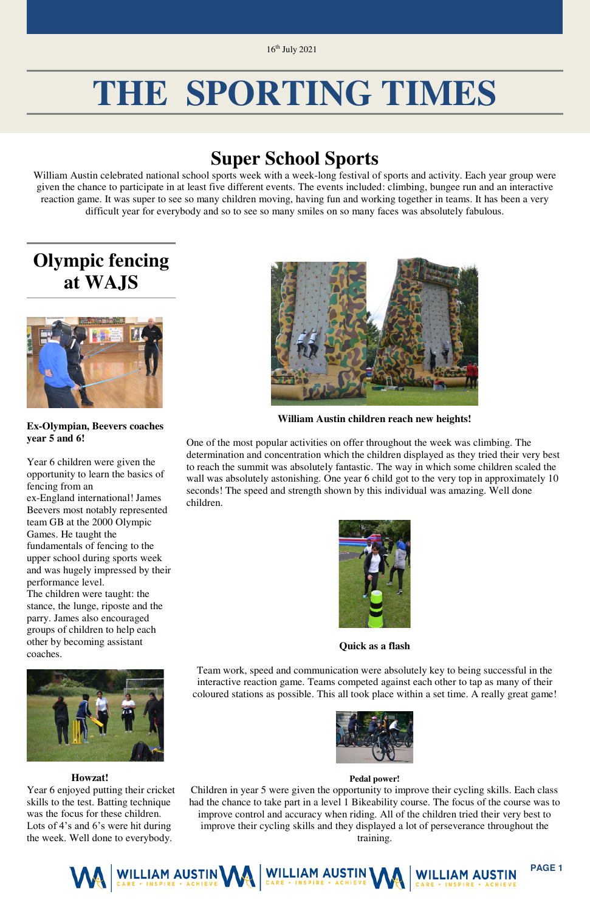

# **THE SPORTING TIMES**

### **Super School Sports**

William Austin celebrated national school sports week with a week-long festival of sports and activity. Each year group were given the chance to participate in at least five different events. The events included: climbing, bungee run and an interactive reaction game. It was super to see so many children moving, having fun and working together in teams. It has been a very difficult year for everybody and so to see so many smiles on so many faces was absolutely fabulous.

### **Olympic fencing at WAJS**



**Ex-Olympian, Beevers coaches year 5 and 6!**

Year 6 children were given the opportunity to learn the basics of fencing from an ex-England international! James Beevers most notably represented team GB at the 2000 Olympic Games. He taught the fundamentals of fencing to the upper school during sports week and was hugely impressed by their performance level. The children were taught: the

stance, the lunge, riposte and the parry. James also encouraged groups of children to help each other by becoming assistant coaches.

#### **Howzat!**

Year 6 enjoyed putting their cricket skills to the test. Batting technique was the focus for these children. Lots of 4's and 6's were hit during the week. Well done to everybody.



**William Austin children reach new heights!** 

One of the most popular activities on offer throughout the week was climbing. The determination and concentration which the children displayed as they tried their very best to reach the summit was absolutely fantastic. The way in which some children scaled the wall was absolutely astonishing. One year 6 child got to the very top in approximately 10 seconds! The speed and strength shown by this individual was amazing. Well done children.



**Quick as a flash** 

Team work, speed and communication were absolutely key to being successful in the interactive reaction game. Teams competed against each other to tap as many of their coloured stations as possible. This all took place within a set time. A really great game!





#### **Pedal power!**

Children in year 5 were given the opportunity to improve their cycling skills. Each class had the chance to take part in a level 1 Bikeability course. The focus of the course was to improve control and accuracy when riding. All of the children tried their very best to improve their cycling skills and they displayed a lot of perseverance throughout the training.

16th July 2021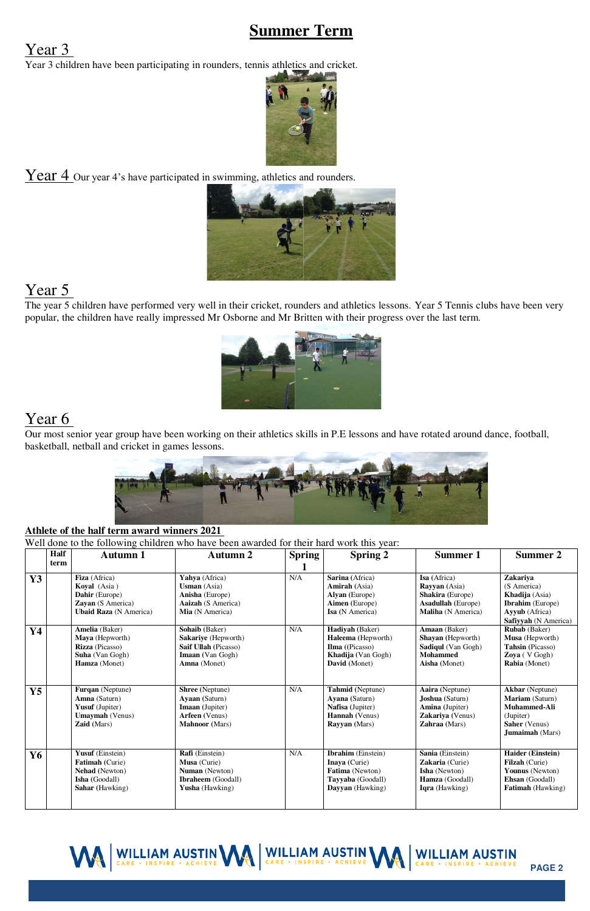#### WILLIAM AUSTIN MA WILLIAM AUSTIN MA WILLIAM AUSTIN **PAGE 2**

#### **Summer Term**

#### Year 3

Year 3 children have been participating in rounders, tennis athletics and cricket.



 $\frac{\text{Year } 4}{\text{Our year } 4$ 's have participated in swimming, athletics and rounders.



#### Year 5

The year 5 children have performed very well in their cricket, rounders and athletics lessons. Year 5 Tennis clubs have been very popular, the children have really impressed Mr Osborne and Mr Britten with their progress over the last term.



#### Year 6

Our most senior year group have been working on their athletics skills in P.E lessons and have rotated around dance, football, basketball, netball and cricket in games lessons.



#### **Athlete of the half term award winners 2021**

Well done to the following children who have been awarded for their hard work this year:

| <b>Half</b><br>Autumn 2<br><b>Spring</b><br><b>Spring 2</b><br><b>Summer 1</b><br>Autumn 1<br>term<br>N/A<br>Yahya (Africa)<br>Sarina (Africa)<br>Isa (Africa)<br>Fiza (Africa)<br>Zakariya<br>Y3<br><b>Usman</b> (Asia)<br><b>Amirah</b> (Asia)<br>(S America)<br>Koyal (Asia)<br><b>Rayyan</b> (Asia)<br><b>Shakira</b> (Europe)<br>Dahir (Europe)<br>Anisha (Europe)<br>Alyan (Europe)<br>Khadija (Asia) | Summer 2                    |
|-------------------------------------------------------------------------------------------------------------------------------------------------------------------------------------------------------------------------------------------------------------------------------------------------------------------------------------------------------------------------------------------------------------|-----------------------------|
|                                                                                                                                                                                                                                                                                                                                                                                                             |                             |
|                                                                                                                                                                                                                                                                                                                                                                                                             |                             |
|                                                                                                                                                                                                                                                                                                                                                                                                             |                             |
|                                                                                                                                                                                                                                                                                                                                                                                                             |                             |
|                                                                                                                                                                                                                                                                                                                                                                                                             |                             |
| Aimen (Europe)<br>Zayan (S America)<br><b>Aaizah</b> (S America)<br><b>Asadullah</b> (Europe)                                                                                                                                                                                                                                                                                                               | <b>Ibrahim</b> (Europe)     |
| <b>Ubaid Raza</b> (N America)<br>Mia (N America)<br>Isa (N America)<br>Maliha (N America)<br>Ayyub (Africa)                                                                                                                                                                                                                                                                                                 |                             |
|                                                                                                                                                                                                                                                                                                                                                                                                             | <b>Safiyyah</b> (N America) |
| Sohaib (Baker)<br>N/A<br>Amaan (Baker)<br>Amelia (Baker)<br>Hadiyah (Baker)<br><b>Rubab</b> (Baker)<br>Y4                                                                                                                                                                                                                                                                                                   |                             |
| Haleema (Hepworth)<br>Shayan (Hepworth)<br>Musa (Hepworth)<br>Maya (Hepworth)<br>Sakariye (Hepworth)                                                                                                                                                                                                                                                                                                        |                             |
| Rizza (Picasso)<br>Saif Ullah (Picasso)<br>Ilma ((Picasso)<br><b>Sadiqul</b> (Van Gogh)<br>Tahsin (Picasso)                                                                                                                                                                                                                                                                                                 |                             |
| <b>Mohammed</b><br><b>Suha</b> (Van Gogh)<br><b>Imaan</b> (Van Gogh)<br><b>Khadija</b> (Van Gogh)<br>Zoya (V Gogh)                                                                                                                                                                                                                                                                                          |                             |
| Hamza (Monet)<br>Amna (Monet)<br>David (Monet)<br>Aisha (Monet)<br><b>Rabia</b> (Monet)                                                                                                                                                                                                                                                                                                                     |                             |
|                                                                                                                                                                                                                                                                                                                                                                                                             |                             |
|                                                                                                                                                                                                                                                                                                                                                                                                             |                             |
| $\rm N/A$<br>Furqan (Neptune)<br><b>Shree</b> (Neptune)<br><b>Akbar</b> (Neptune)<br>$\mathbf{Y}$ 5<br><b>Tahmid</b> (Neptune)<br>Aaira (Neptune)                                                                                                                                                                                                                                                           |                             |
| Amna (Saturn)<br>Mariam (Saturn)<br>Ayaan (Saturn)<br>Ayana (Saturn)<br><b>Joshua</b> (Saturn)                                                                                                                                                                                                                                                                                                              |                             |
| Yusuf (Jupiter)<br>Nafisa (Jupiter)<br>Amina (Jupiter)<br>Muhammed-Ali<br>Imaan (Jupiter)                                                                                                                                                                                                                                                                                                                   |                             |
| <b>Umaymah</b> (Venus)<br>Arfeen (Venus)<br>Hannah (Venus)<br>Zakariya (Venus)<br>(Jupiter)                                                                                                                                                                                                                                                                                                                 |                             |
| Zaid (Mars)<br><b>Mahnoor</b> (Mars)<br>Zahraa (Mars)<br><b>Rayyan</b> (Mars)<br><b>Saher</b> (Venus)                                                                                                                                                                                                                                                                                                       |                             |
| <b>Jumaimah</b> (Mars)                                                                                                                                                                                                                                                                                                                                                                                      |                             |
|                                                                                                                                                                                                                                                                                                                                                                                                             |                             |
| Rafi (Einstein)<br>$\rm N/A$<br>Yusuf (Einstein)<br><b>Ibrahim</b> (Einstein)<br>Sania (Einstein)<br><b>Haider (Einstein)</b><br>Y6                                                                                                                                                                                                                                                                         |                             |
| Fatimah (Curie)<br>Musa (Curie)<br>Inaya (Curie)<br>Zakaria (Curie)<br><b>Filzah</b> (Curie)                                                                                                                                                                                                                                                                                                                |                             |
| Fatima (Newton)<br><b>Nehad</b> (Newton)<br>Numan (Newton)<br><b>Isha</b> (Newton)<br>Younus (Newton)                                                                                                                                                                                                                                                                                                       |                             |
| Isha (Goodall)<br><b>Ibraheem</b> (Goodall)<br>Tayyaba (Goodall)<br>Ehsan (Goodall)<br>Hamza (Goodall)                                                                                                                                                                                                                                                                                                      |                             |
| Sahar (Hawking)<br>Dayyan (Hawking)<br><b>Fatimah</b> (Hawking)<br><b>Yusha</b> (Hawking)<br><b>Iqra</b> (Hawking)                                                                                                                                                                                                                                                                                          |                             |
|                                                                                                                                                                                                                                                                                                                                                                                                             |                             |
|                                                                                                                                                                                                                                                                                                                                                                                                             |                             |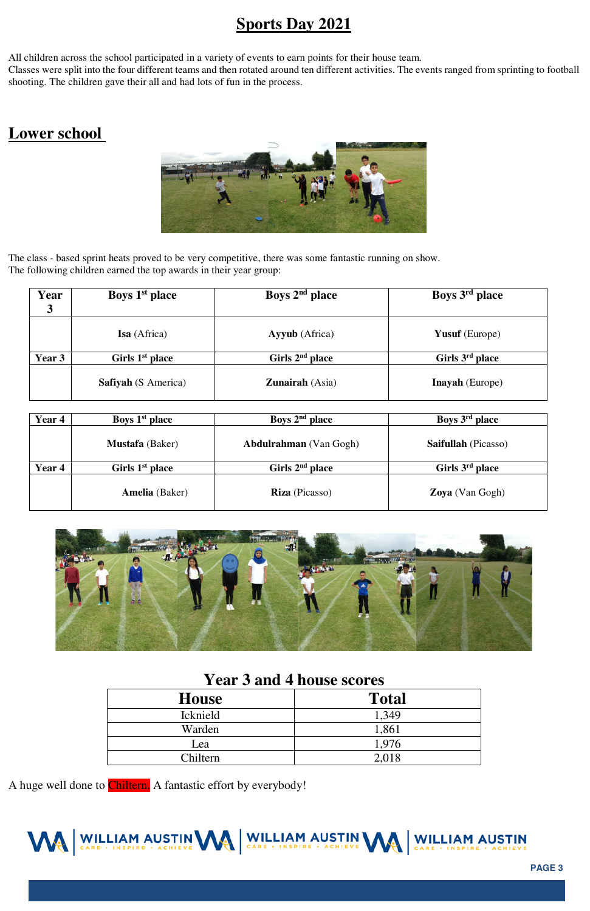

#### **Sports Day 2021**

All children across the school participated in a variety of events to earn points for their house team.

 shooting. The children gave their all and had lots of fun in the process. Classes were split into the four different teams and then rotated around ten different activities. The events ranged from sprinting to football

#### **Lower school**



The class - based sprint heats proved to be very competitive, there was some fantastic running on show. The following children earned the top awards in their year group:

| Year<br>$\boldsymbol{3}$ | Boys 1 <sup>st</sup> place | Boys $2nd$ place       | Boys 3 <sup>rd</sup> place  |
|--------------------------|----------------------------|------------------------|-----------------------------|
|                          | Isa (Africa)               | <b>Ayyub</b> (Africa)  | <b>Yusuf</b> (Europe)       |
| Year 3                   | Girls $1st$ place          | Girls $2nd$ place      | Girls 3 <sup>rd</sup> place |
|                          | <b>Safiyah</b> (S America) | <b>Zunairah</b> (Asia) | <b>Inayah</b> (Europe)      |

| Year 4 | Boys 1 <sup>st</sup> place | Boys $2nd$ place              | Boys 3 <sup>rd</sup> place  |
|--------|----------------------------|-------------------------------|-----------------------------|
|        | <b>Mustafa</b> (Baker)     | <b>Abdulrahman</b> (Van Gogh) | <b>Saifullah</b> (Picasso)  |
| Year 4 | Girls $1st$ place          | Girls $2nd$ place             | Girls 3 <sup>rd</sup> place |
|        | <b>Amelia</b> (Baker)      | <b>Riza</b> (Picasso)         | <b>Zoya</b> (Van Gogh)      |



#### **Year 3 and 4 house scores**

| <b>House</b>    | <b>Total</b> |
|-----------------|--------------|
| <b>Icknield</b> | 1,349        |
| Warden          | 1,861        |
| Lea             | 1,976        |
| Chiltern        | 2,018        |

A huge well done to *Chiltern*. A fantastic effort by everybody!

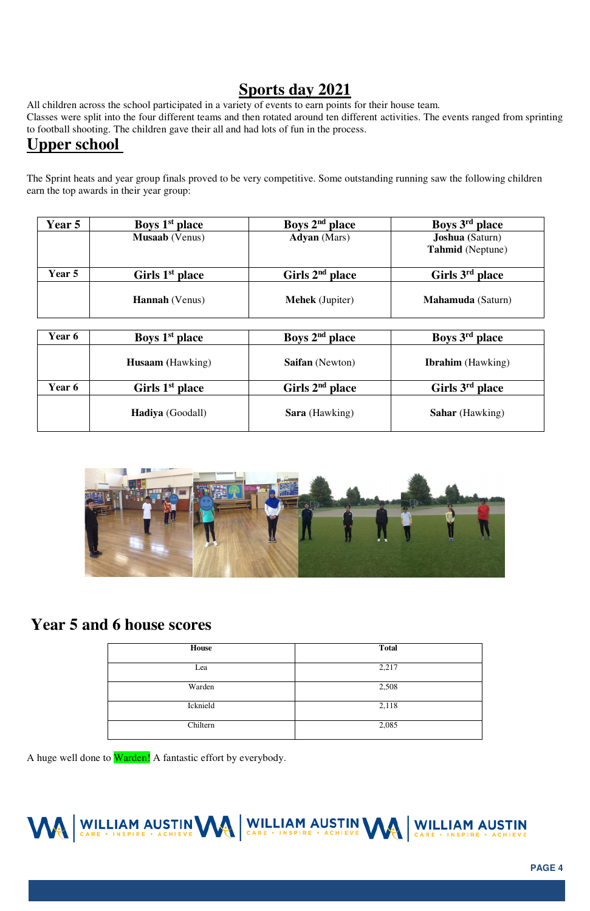**PAGE 4** 

#### **Sports day 2021**

All children across the school participated in a variety of events to earn points for their house team.

Classes were split into the four different teams and then rotated around ten different activities. The events ranged from sprinting to football shooting. The children gave their all and had lots of fun in the process.

#### **Upper school**

The Sprint heats and year group finals proved to be very competitive. Some outstanding running saw the following children earn the top awards in their year group:

| <b>Year 5</b> | Boys 1 <sup>st</sup> place  | Boys $2nd$ place       | Boys 3 <sup>rd</sup> place                        |
|---------------|-----------------------------|------------------------|---------------------------------------------------|
|               | <b>Musaab</b> (Venus)       | <b>Adyan</b> (Mars)    | <b>Joshua</b> (Saturn)<br><b>Tahmid</b> (Neptune) |
| Year 5        | Girls 1 <sup>st</sup> place | Girls $2nd$ place      | Girls 3 <sup>rd</sup> place                       |
|               | <b>Hannah</b> (Venus)       | <b>Mehek</b> (Jupiter) | <b>Mahamuda</b> (Saturn)                          |

| Year 6 | Boys 1 <sup>st</sup> place  | Boys $2nd$ place       | Boys 3 <sup>rd</sup> place  |
|--------|-----------------------------|------------------------|-----------------------------|
|        | <b>Husaam</b> (Hawking)     | <b>Saifan</b> (Newton) | <b>Ibrahim</b> (Hawking)    |
| Year 6 | Girls 1 <sup>st</sup> place | Girls $2nd$ place      | Girls 3 <sup>rd</sup> place |
|        | <b>Hadiya</b> (Goodall)     | <b>Sara</b> (Hawking)  | <b>Sahar</b> (Hawking)      |



#### **Year 5 and 6 house scores**

| House    | <b>Total</b> |
|----------|--------------|
| Lea      | 2,217        |
| Warden   | 2,508        |
| Icknield | 2,118        |
| Chiltern | 2,085        |

A huge well done to **Warden!** A fantastic effort by everybody.

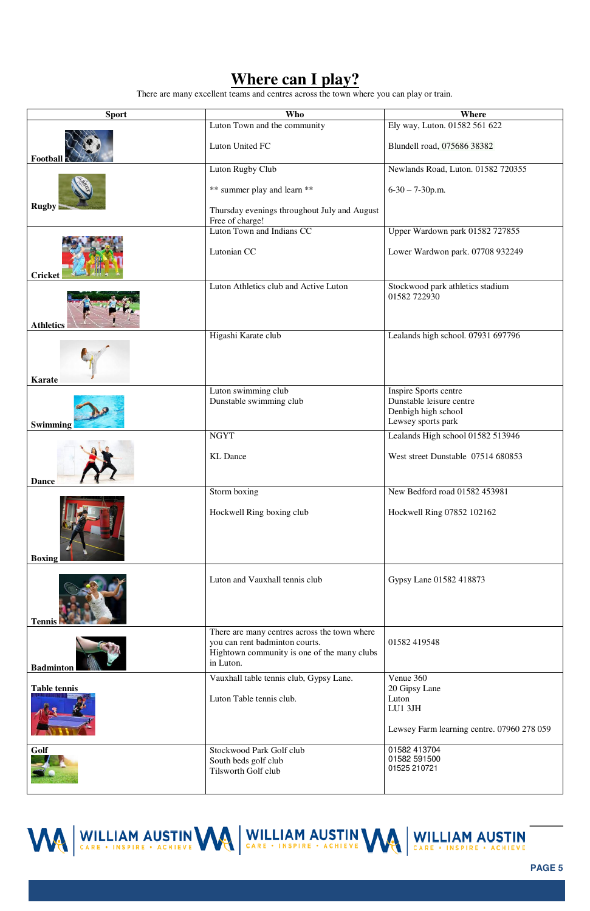**PAGE 5** 

### **Where can I play?**

There are many excellent teams and centres across the town where you can play or train.

| <b>Sport</b>        | <b>Who</b>                                                                                                                                 | <b>Where</b>                                                          |
|---------------------|--------------------------------------------------------------------------------------------------------------------------------------------|-----------------------------------------------------------------------|
|                     | Luton Town and the community                                                                                                               | Ely way, Luton. 01582 561 622                                         |
| <b>Football</b>     | Luton United FC                                                                                                                            | Blundell road, 075686 38382                                           |
|                     | Luton Rugby Club                                                                                                                           | Newlands Road, Luton. 01582 720355                                    |
|                     | ** summer play and learn **                                                                                                                | $6-30-7-30$ p.m.                                                      |
| <b>Rugby</b>        | Thursday evenings throughout July and August<br>Free of charge!                                                                            |                                                                       |
|                     | Luton Town and Indians CC                                                                                                                  | Upper Wardown park 01582 727855                                       |
| <b>Cricket</b>      | Lutonian CC                                                                                                                                | Lower Wardwon park. 07708 932249                                      |
| <b>Athletics</b>    | Luton Athletics club and Active Luton                                                                                                      | Stockwood park athletics stadium<br>01582 722930                      |
| <b>Karate</b>       | Higashi Karate club                                                                                                                        | Lealands high school. 07931 697796                                    |
|                     | Luton swimming club                                                                                                                        | Inspire Sports centre                                                 |
| <b>Swimming</b>     | Dunstable swimming club                                                                                                                    | Dunstable leisure centre<br>Denbigh high school<br>Lewsey sports park |
|                     | <b>NGYT</b>                                                                                                                                | Lealands High school 01582 513946                                     |
| <b>Dance</b>        | <b>KL</b> Dance                                                                                                                            | West street Dunstable 07514 680853                                    |
|                     | Storm boxing                                                                                                                               | New Bedford road 01582 453981                                         |
| <b>Boxing</b>       | Hockwell Ring boxing club                                                                                                                  | Hockwell Ring 07852 102162                                            |
| <b>Tennis</b>       | Luton and Vauxhall tennis club                                                                                                             | Gypsy Lane 01582 418873                                               |
| <b>Badminton</b>    | There are many centres across the town where<br>you can rent badminton courts.<br>Hightown community is one of the many clubs<br>in Luton. | 01582 419548                                                          |
|                     | Vauxhall table tennis club, Gypsy Lane.                                                                                                    | Venue 360                                                             |
| <b>Table tennis</b> | Luton Table tennis club.                                                                                                                   | 20 Gipsy Lane<br>Luton<br>LU1 3JH                                     |
|                     |                                                                                                                                            | Lewsey Farm learning centre. 07960 278 059                            |
| Golf                | Stockwood Park Golf club<br>South beds golf club<br>Tilsworth Golf club                                                                    | 01582 413704<br>01582 591500<br>01525 210721                          |